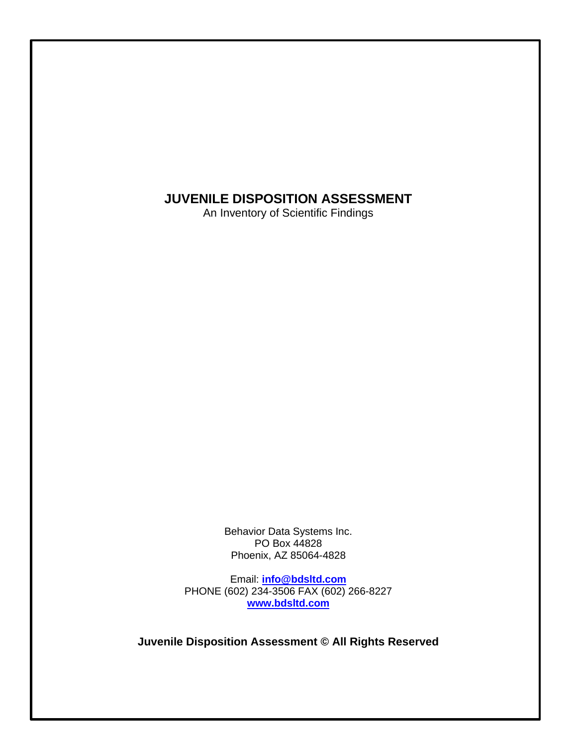# **JUVENILE DISPOSITION ASSESSMENT**

An Inventory of Scientific Findings

Behavior Data Systems Inc. PO Box 44828 Phoenix, AZ 85064-4828

Email: **[info@bdsltd.com](mailto:info@bdsltd.com)** PHONE (602) 234-3506 FAX (602) 266-8227 **[www.bdsltd.com](http://www.bdsltd.com/)**

**Juvenile Disposition Assessment © All Rights Reserved**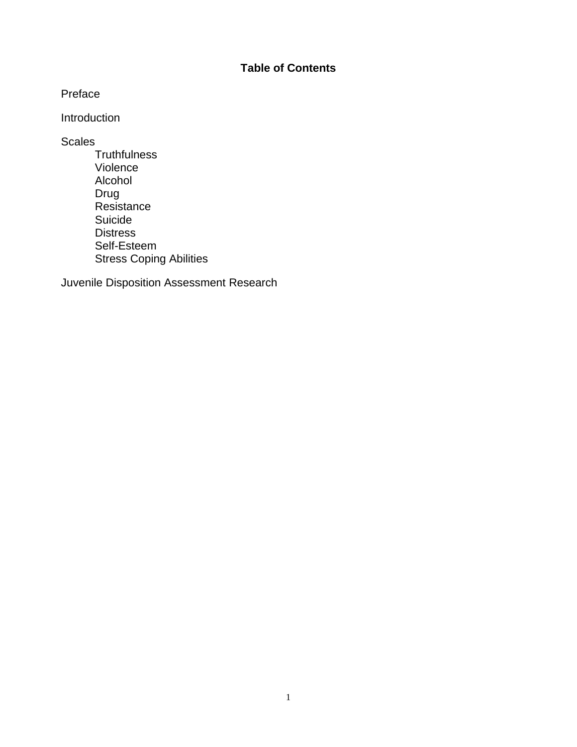## **Table of Contents**

Preface

Introduction

**Scales** 

**Truthfulness** Violence Alcohol Drug Resistance Suicide **Distress** Self-Esteem Stress Coping Abilities

Juvenile Disposition Assessment Research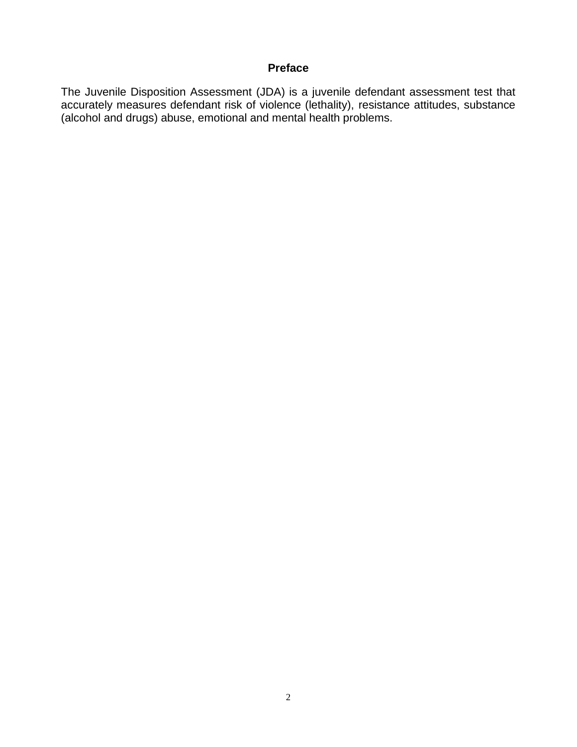## **Preface**

The Juvenile Disposition Assessment (JDA) is a juvenile defendant assessment test that accurately measures defendant risk of violence (lethality), resistance attitudes, substance (alcohol and drugs) abuse, emotional and mental health problems.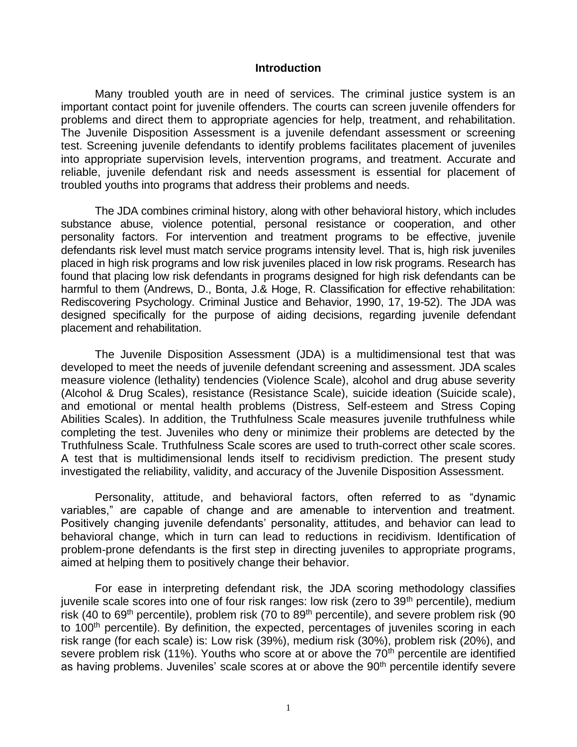#### **Introduction**

Many troubled youth are in need of services. The criminal justice system is an important contact point for juvenile offenders. The courts can screen juvenile offenders for problems and direct them to appropriate agencies for help, treatment, and rehabilitation. The Juvenile Disposition Assessment is a juvenile defendant assessment or screening test. Screening juvenile defendants to identify problems facilitates placement of juveniles into appropriate supervision levels, intervention programs, and treatment. Accurate and reliable, juvenile defendant risk and needs assessment is essential for placement of troubled youths into programs that address their problems and needs.

The JDA combines criminal history, along with other behavioral history, which includes substance abuse, violence potential, personal resistance or cooperation, and other personality factors. For intervention and treatment programs to be effective, juvenile defendants risk level must match service programs intensity level. That is, high risk juveniles placed in high risk programs and low risk juveniles placed in low risk programs. Research has found that placing low risk defendants in programs designed for high risk defendants can be harmful to them (Andrews, D., Bonta, J.& Hoge, R. Classification for effective rehabilitation: Rediscovering Psychology. Criminal Justice and Behavior, 1990, 17, 19-52). The JDA was designed specifically for the purpose of aiding decisions, regarding juvenile defendant placement and rehabilitation.

The Juvenile Disposition Assessment (JDA) is a multidimensional test that was developed to meet the needs of juvenile defendant screening and assessment. JDA scales measure violence (lethality) tendencies (Violence Scale), alcohol and drug abuse severity (Alcohol & Drug Scales), resistance (Resistance Scale), suicide ideation (Suicide scale), and emotional or mental health problems (Distress, Self-esteem and Stress Coping Abilities Scales). In addition, the Truthfulness Scale measures juvenile truthfulness while completing the test. Juveniles who deny or minimize their problems are detected by the Truthfulness Scale. Truthfulness Scale scores are used to truth-correct other scale scores. A test that is multidimensional lends itself to recidivism prediction. The present study investigated the reliability, validity, and accuracy of the Juvenile Disposition Assessment.

Personality, attitude, and behavioral factors, often referred to as "dynamic variables," are capable of change and are amenable to intervention and treatment. Positively changing juvenile defendants' personality, attitudes, and behavior can lead to behavioral change, which in turn can lead to reductions in recidivism. Identification of problem-prone defendants is the first step in directing juveniles to appropriate programs, aimed at helping them to positively change their behavior.

For ease in interpreting defendant risk, the JDA scoring methodology classifies juvenile scale scores into one of four risk ranges: low risk (zero to 39<sup>th</sup> percentile), medium risk (40 to 69<sup>th</sup> percentile), problem risk (70 to 89<sup>th</sup> percentile), and severe problem risk (90 to 100<sup>th</sup> percentile). By definition, the expected, percentages of juveniles scoring in each risk range (for each scale) is: Low risk (39%), medium risk (30%), problem risk (20%), and severe problem risk  $(11\%)$ . Youths who score at or above the  $70<sup>th</sup>$  percentile are identified as having problems. Juveniles' scale scores at or above the 90<sup>th</sup> percentile identify severe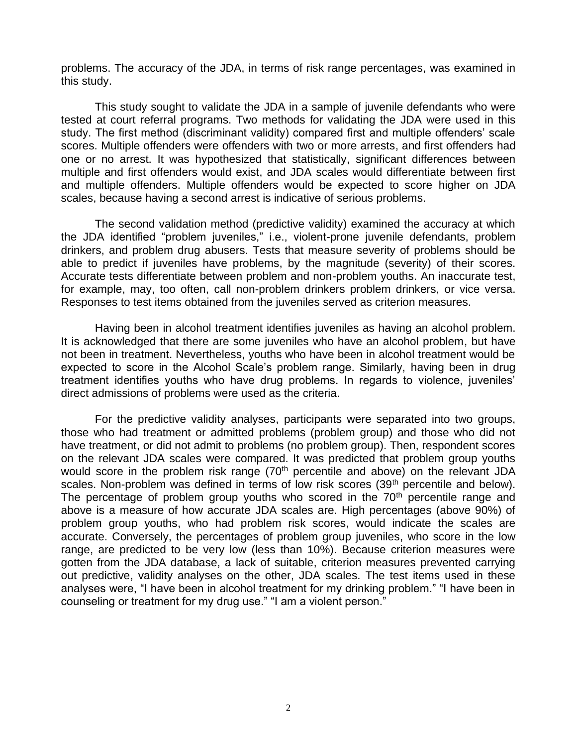problems. The accuracy of the JDA, in terms of risk range percentages, was examined in this study.

This study sought to validate the JDA in a sample of juvenile defendants who were tested at court referral programs. Two methods for validating the JDA were used in this study. The first method (discriminant validity) compared first and multiple offenders' scale scores. Multiple offenders were offenders with two or more arrests, and first offenders had one or no arrest. It was hypothesized that statistically, significant differences between multiple and first offenders would exist, and JDA scales would differentiate between first and multiple offenders. Multiple offenders would be expected to score higher on JDA scales, because having a second arrest is indicative of serious problems.

The second validation method (predictive validity) examined the accuracy at which the JDA identified "problem juveniles," i.e., violent-prone juvenile defendants, problem drinkers, and problem drug abusers. Tests that measure severity of problems should be able to predict if juveniles have problems, by the magnitude (severity) of their scores. Accurate tests differentiate between problem and non-problem youths. An inaccurate test, for example, may, too often, call non-problem drinkers problem drinkers, or vice versa. Responses to test items obtained from the juveniles served as criterion measures.

Having been in alcohol treatment identifies juveniles as having an alcohol problem. It is acknowledged that there are some juveniles who have an alcohol problem, but have not been in treatment. Nevertheless, youths who have been in alcohol treatment would be expected to score in the Alcohol Scale's problem range. Similarly, having been in drug treatment identifies youths who have drug problems. In regards to violence, juveniles' direct admissions of problems were used as the criteria.

For the predictive validity analyses, participants were separated into two groups, those who had treatment or admitted problems (problem group) and those who did not have treatment, or did not admit to problems (no problem group). Then, respondent scores on the relevant JDA scales were compared. It was predicted that problem group youths would score in the problem risk range  $(70<sup>th</sup>$  percentile and above) on the relevant JDA scales. Non-problem was defined in terms of low risk scores (39<sup>th</sup> percentile and below). The percentage of problem group youths who scored in the 70<sup>th</sup> percentile range and above is a measure of how accurate JDA scales are. High percentages (above 90%) of problem group youths, who had problem risk scores, would indicate the scales are accurate. Conversely, the percentages of problem group juveniles, who score in the low range, are predicted to be very low (less than 10%). Because criterion measures were gotten from the JDA database, a lack of suitable, criterion measures prevented carrying out predictive, validity analyses on the other, JDA scales. The test items used in these analyses were, "I have been in alcohol treatment for my drinking problem." "I have been in counseling or treatment for my drug use." "I am a violent person."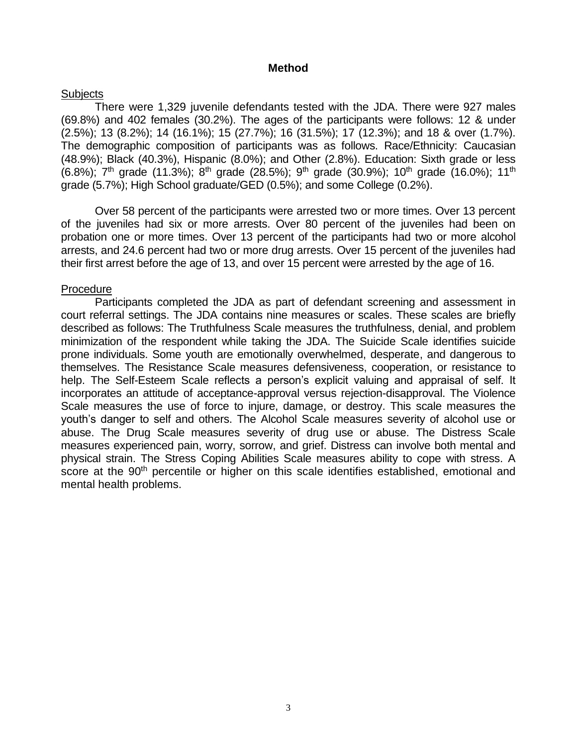#### **Method**

#### **Subjects**

There were 1,329 juvenile defendants tested with the JDA. There were 927 males (69.8%) and 402 females (30.2%). The ages of the participants were follows: 12 & under (2.5%); 13 (8.2%); 14 (16.1%); 15 (27.7%); 16 (31.5%); 17 (12.3%); and 18 & over (1.7%). The demographic composition of participants was as follows. Race/Ethnicity: Caucasian (48.9%); Black (40.3%), Hispanic (8.0%); and Other (2.8%). Education: Sixth grade or less  $(6.8\%)$ ; 7<sup>th</sup> grade (11.3%); 8<sup>th</sup> grade (28.5%); 9<sup>th</sup> grade (30.9%); 10<sup>th</sup> grade (16.0%); 11<sup>th</sup> grade (5.7%); High School graduate/GED (0.5%); and some College (0.2%).

Over 58 percent of the participants were arrested two or more times. Over 13 percent of the juveniles had six or more arrests. Over 80 percent of the juveniles had been on probation one or more times. Over 13 percent of the participants had two or more alcohol arrests, and 24.6 percent had two or more drug arrests. Over 15 percent of the juveniles had their first arrest before the age of 13, and over 15 percent were arrested by the age of 16.

#### Procedure

Participants completed the JDA as part of defendant screening and assessment in court referral settings. The JDA contains nine measures or scales. These scales are briefly described as follows: The Truthfulness Scale measures the truthfulness, denial, and problem minimization of the respondent while taking the JDA. The Suicide Scale identifies suicide prone individuals. Some youth are emotionally overwhelmed, desperate, and dangerous to themselves. The Resistance Scale measures defensiveness, cooperation, or resistance to help. The Self-Esteem Scale reflects a person's explicit valuing and appraisal of self. It incorporates an attitude of acceptance-approval versus rejection-disapproval. The Violence Scale measures the use of force to injure, damage, or destroy. This scale measures the youth's danger to self and others. The Alcohol Scale measures severity of alcohol use or abuse. The Drug Scale measures severity of drug use or abuse. The Distress Scale measures experienced pain, worry, sorrow, and grief. Distress can involve both mental and physical strain. The Stress Coping Abilities Scale measures ability to cope with stress. A score at the 90<sup>th</sup> percentile or higher on this scale identifies established, emotional and mental health problems.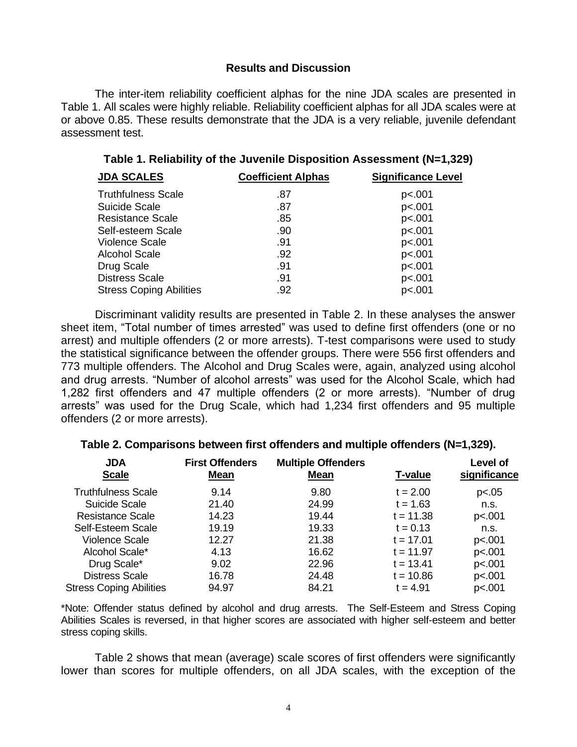#### **Results and Discussion**

The inter-item reliability coefficient alphas for the nine JDA scales are presented in Table 1. All scales were highly reliable. Reliability coefficient alphas for all JDA scales were at or above 0.85. These results demonstrate that the JDA is a very reliable, juvenile defendant assessment test.

| <b>JDA SCALES</b>              | <b>Coefficient Alphas</b> | <b>Significance Level</b> |  |  |
|--------------------------------|---------------------------|---------------------------|--|--|
| <b>Truthfulness Scale</b>      | .87                       | p<.001                    |  |  |
| Suicide Scale                  | .87                       | p<.001                    |  |  |
| <b>Resistance Scale</b>        | .85                       | p<.001                    |  |  |
| Self-esteem Scale              | .90                       | p<.001                    |  |  |
| <b>Violence Scale</b>          | .91                       | p<.001                    |  |  |
| <b>Alcohol Scale</b>           | .92                       | p<.001                    |  |  |
| Drug Scale                     | .91                       | p<.001                    |  |  |
| <b>Distress Scale</b>          | .91                       | p<.001                    |  |  |
| <b>Stress Coping Abilities</b> | .92                       | p<.001                    |  |  |

**Table 1. Reliability of the Juvenile Disposition Assessment (N=1,329)**

Discriminant validity results are presented in Table 2. In these analyses the answer sheet item, "Total number of times arrested" was used to define first offenders (one or no arrest) and multiple offenders (2 or more arrests). T-test comparisons were used to study the statistical significance between the offender groups. There were 556 first offenders and 773 multiple offenders. The Alcohol and Drug Scales were, again, analyzed using alcohol and drug arrests. "Number of alcohol arrests" was used for the Alcohol Scale, which had 1,282 first offenders and 47 multiple offenders (2 or more arrests). "Number of drug arrests" was used for the Drug Scale, which had 1,234 first offenders and 95 multiple offenders (2 or more arrests).

| Table 2. Comparisons between first offenders and multiple offenders (N=1,329). |  |
|--------------------------------------------------------------------------------|--|
|                                                                                |  |

| <b>JDA</b><br><b>Scale</b>     | <b>First Offenders</b><br>Mean | <b>Multiple Offenders</b><br><b>Mean</b> | T-value     | Level of<br>significance |  |
|--------------------------------|--------------------------------|------------------------------------------|-------------|--------------------------|--|
| <b>Truthfulness Scale</b>      | 9.14                           | 9.80                                     | $t = 2.00$  | p<.05                    |  |
| Suicide Scale                  | 21.40                          | 24.99                                    | $t = 1.63$  | n.s.                     |  |
| Resistance Scale               | 14.23                          | 19.44                                    | $t = 11.38$ | p<.001                   |  |
| Self-Esteem Scale              | 19.19                          | 19.33                                    | $t = 0.13$  | n.s.                     |  |
| Violence Scale                 | 12.27                          | 21.38                                    | $t = 17.01$ | p<.001                   |  |
| Alcohol Scale*                 | 4.13                           | 16.62                                    | $t = 11.97$ | p<.001                   |  |
| Drug Scale*                    | 9.02                           | 22.96                                    | $t = 13.41$ | p<.001                   |  |
| <b>Distress Scale</b>          | 16.78                          | 24.48                                    | $t = 10.86$ | p<.001                   |  |
| <b>Stress Coping Abilities</b> | 94.97                          | 84.21                                    | $t = 4.91$  | p<.001                   |  |

\*Note: Offender status defined by alcohol and drug arrests. The Self-Esteem and Stress Coping Abilities Scales is reversed, in that higher scores are associated with higher self-esteem and better stress coping skills.

Table 2 shows that mean (average) scale scores of first offenders were significantly lower than scores for multiple offenders, on all JDA scales, with the exception of the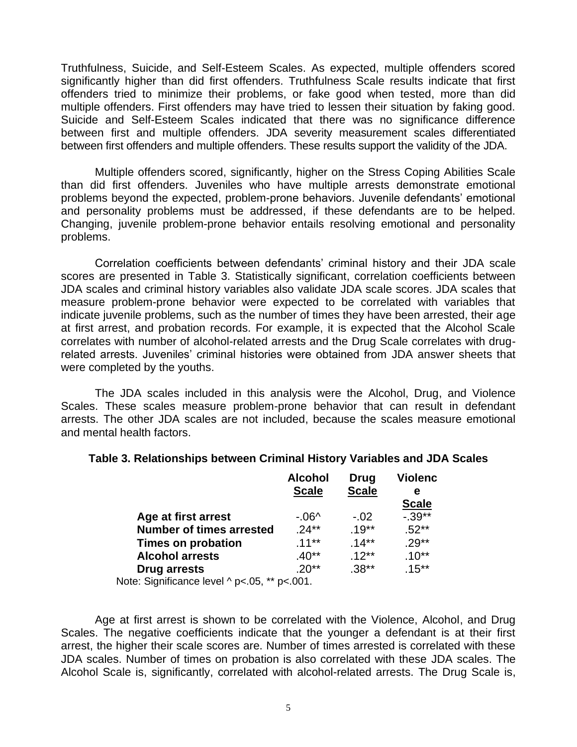Truthfulness, Suicide, and Self-Esteem Scales. As expected, multiple offenders scored significantly higher than did first offenders. Truthfulness Scale results indicate that first offenders tried to minimize their problems, or fake good when tested, more than did multiple offenders. First offenders may have tried to lessen their situation by faking good. Suicide and Self-Esteem Scales indicated that there was no significance difference between first and multiple offenders. JDA severity measurement scales differentiated between first offenders and multiple offenders. These results support the validity of the JDA.

Multiple offenders scored, significantly, higher on the Stress Coping Abilities Scale than did first offenders. Juveniles who have multiple arrests demonstrate emotional problems beyond the expected, problem-prone behaviors. Juvenile defendants' emotional and personality problems must be addressed, if these defendants are to be helped. Changing, juvenile problem-prone behavior entails resolving emotional and personality problems.

Correlation coefficients between defendants' criminal history and their JDA scale scores are presented in Table 3. Statistically significant, correlation coefficients between JDA scales and criminal history variables also validate JDA scale scores. JDA scales that measure problem-prone behavior were expected to be correlated with variables that indicate juvenile problems, such as the number of times they have been arrested, their age at first arrest, and probation records. For example, it is expected that the Alcohol Scale correlates with number of alcohol-related arrests and the Drug Scale correlates with drugrelated arrests. Juveniles' criminal histories were obtained from JDA answer sheets that were completed by the youths.

The JDA scales included in this analysis were the Alcohol, Drug, and Violence Scales. These scales measure problem-prone behavior that can result in defendant arrests. The other JDA scales are not included, because the scales measure emotional and mental health factors.

| <b>Alcohol</b><br><b>Scale</b> | Drug<br><b>Scale</b> | <b>Violenc</b><br>е |
|--------------------------------|----------------------|---------------------|
|                                |                      | <b>Scale</b>        |
| - 06^                          | $-.02$               | $-0.39**$           |
| $.24***$                       | $.19***$             | $.52**$             |
| $.11***$                       | $.14**$              | $.29**$             |
| .40**                          | $12**$               | $.10**$             |
| $.20**$                        | $.38***$             | $.15***$            |
|                                |                      |                     |

### **Table 3. Relationships between Criminal History Variables and JDA Scales**

Note: Significance level ^ p<.05, \*\* p<.001.

Age at first arrest is shown to be correlated with the Violence, Alcohol, and Drug Scales. The negative coefficients indicate that the younger a defendant is at their first arrest, the higher their scale scores are. Number of times arrested is correlated with these JDA scales. Number of times on probation is also correlated with these JDA scales. The Alcohol Scale is, significantly, correlated with alcohol-related arrests. The Drug Scale is,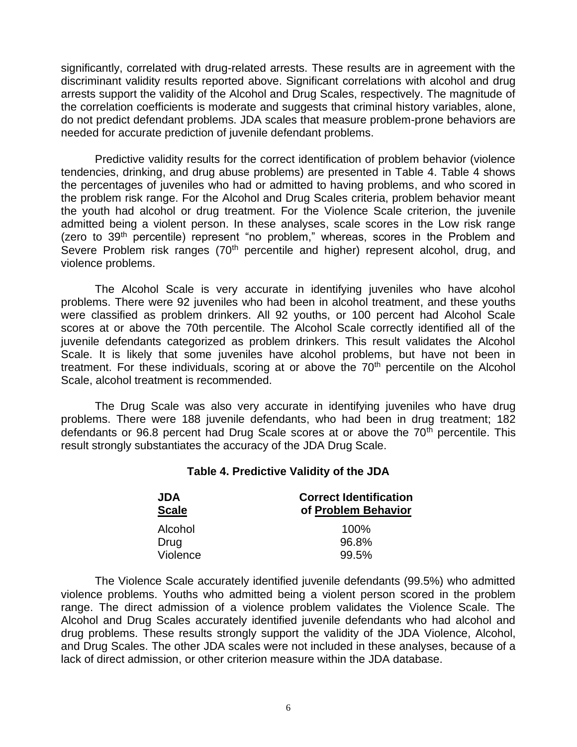significantly, correlated with drug-related arrests. These results are in agreement with the discriminant validity results reported above. Significant correlations with alcohol and drug arrests support the validity of the Alcohol and Drug Scales, respectively. The magnitude of the correlation coefficients is moderate and suggests that criminal history variables, alone, do not predict defendant problems. JDA scales that measure problem-prone behaviors are needed for accurate prediction of juvenile defendant problems.

Predictive validity results for the correct identification of problem behavior (violence tendencies, drinking, and drug abuse problems) are presented in Table 4. Table 4 shows the percentages of juveniles who had or admitted to having problems, and who scored in the problem risk range. For the Alcohol and Drug Scales criteria, problem behavior meant the youth had alcohol or drug treatment. For the Violence Scale criterion, the juvenile admitted being a violent person. In these analyses, scale scores in the Low risk range (zero to 39<sup>th</sup> percentile) represent "no problem," whereas, scores in the Problem and Severe Problem risk ranges (70<sup>th</sup> percentile and higher) represent alcohol, drug, and violence problems.

The Alcohol Scale is very accurate in identifying juveniles who have alcohol problems. There were 92 juveniles who had been in alcohol treatment, and these youths were classified as problem drinkers. All 92 youths, or 100 percent had Alcohol Scale scores at or above the 70th percentile. The Alcohol Scale correctly identified all of the juvenile defendants categorized as problem drinkers. This result validates the Alcohol Scale. It is likely that some juveniles have alcohol problems, but have not been in treatment. For these individuals, scoring at or above the  $70<sup>th</sup>$  percentile on the Alcohol Scale, alcohol treatment is recommended.

The Drug Scale was also very accurate in identifying juveniles who have drug problems. There were 188 juvenile defendants, who had been in drug treatment; 182 defendants or 96.8 percent had Drug Scale scores at or above the  $70<sup>th</sup>$  percentile. This result strongly substantiates the accuracy of the JDA Drug Scale.

#### **Table 4. Predictive Validity of the JDA**

| <b>JDA</b>   | <b>Correct Identification</b><br>of Problem Behavior |  |  |  |
|--------------|------------------------------------------------------|--|--|--|
| <b>Scale</b> |                                                      |  |  |  |
| Alcohol      | 100%                                                 |  |  |  |
| Drug         | 96.8%                                                |  |  |  |
| Violence     | 99.5%                                                |  |  |  |

The Violence Scale accurately identified juvenile defendants (99.5%) who admitted violence problems. Youths who admitted being a violent person scored in the problem range. The direct admission of a violence problem validates the Violence Scale. The Alcohol and Drug Scales accurately identified juvenile defendants who had alcohol and drug problems. These results strongly support the validity of the JDA Violence, Alcohol, and Drug Scales. The other JDA scales were not included in these analyses, because of a lack of direct admission, or other criterion measure within the JDA database.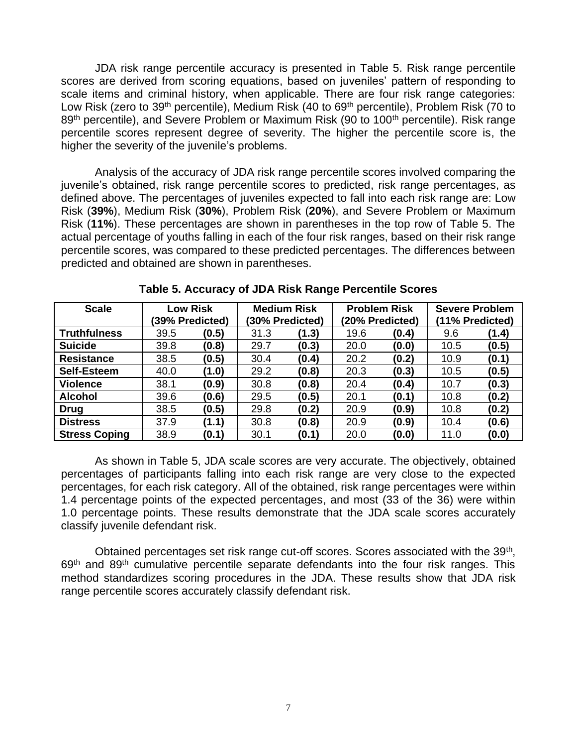JDA risk range percentile accuracy is presented in Table 5. Risk range percentile scores are derived from scoring equations, based on juveniles' pattern of responding to scale items and criminal history, when applicable. There are four risk range categories: Low Risk (zero to 39<sup>th</sup> percentile), Medium Risk (40 to 69<sup>th</sup> percentile), Problem Risk (70 to 89<sup>th</sup> percentile), and Severe Problem or Maximum Risk (90 to 100<sup>th</sup> percentile). Risk range percentile scores represent degree of severity. The higher the percentile score is, the higher the severity of the juvenile's problems.

Analysis of the accuracy of JDA risk range percentile scores involved comparing the juvenile's obtained, risk range percentile scores to predicted, risk range percentages, as defined above. The percentages of juveniles expected to fall into each risk range are: Low Risk (**39%**), Medium Risk (**30%**), Problem Risk (**20%**), and Severe Problem or Maximum Risk (**11%**). These percentages are shown in parentheses in the top row of Table 5. The actual percentage of youths falling in each of the four risk ranges, based on their risk range percentile scores, was compared to these predicted percentages. The differences between predicted and obtained are shown in parentheses.

| <b>Scale</b>         | Low Risk |                 | <b>Medium Risk</b> |                 | <b>Problem Risk</b> |                 | <b>Severe Problem</b> |                 |  |
|----------------------|----------|-----------------|--------------------|-----------------|---------------------|-----------------|-----------------------|-----------------|--|
|                      |          | (39% Predicted) |                    | (30% Predicted) |                     | (20% Predicted) |                       | (11% Predicted) |  |
| <b>Truthfulness</b>  | 39.5     | (0.5)           | 31.3               | (1.3)           | 19.6                | (0.4)           | 9.6                   | (1.4)           |  |
| <b>Suicide</b>       | 39.8     | (0.8)           | 29.7               | (0.3)           | 20.0                | (0.0)           | 10.5                  | (0.5)           |  |
| <b>Resistance</b>    | 38.5     | (0.5)           | 30.4               | (0.4)           | 20.2                | (0.2)           | 10.9                  | (0.1)           |  |
| <b>Self-Esteem</b>   | 40.0     | (1.0)           | 29.2               | (0.8)           | 20.3                | (0.3)           | 10.5                  | (0.5)           |  |
| <b>Violence</b>      | 38.1     | (0.9)           | 30.8               | (0.8)           | 20.4                | (0.4)           | 10.7                  | (0.3)           |  |
| <b>Alcohol</b>       | 39.6     | (0.6)           | 29.5               | (0.5)           | 20.1                | (0.1)           | 10.8                  | (0.2)           |  |
| <b>Drug</b>          | 38.5     | (0.5)           | 29.8               | (0.2)           | 20.9                | (0.9)           | 10.8                  | (0.2)           |  |
| <b>Distress</b>      | 37.9     | (1.1)           | 30.8               | (0.8)           | 20.9                | (0.9)           | 10.4                  | (0.6)           |  |
| <b>Stress Coping</b> | 38.9     | (0.1)           | 30.1               | (0.1)           | 20.0                | (0.0)           | 11.0                  | (0.0)           |  |

**Table 5. Accuracy of JDA Risk Range Percentile Scores**

As shown in Table 5, JDA scale scores are very accurate. The objectively, obtained percentages of participants falling into each risk range are very close to the expected percentages, for each risk category. All of the obtained, risk range percentages were within 1.4 percentage points of the expected percentages, and most (33 of the 36) were within 1.0 percentage points. These results demonstrate that the JDA scale scores accurately classify juvenile defendant risk.

Obtained percentages set risk range cut-off scores. Scores associated with the 39<sup>th</sup>,  $69<sup>th</sup>$  and  $89<sup>th</sup>$  cumulative percentile separate defendants into the four risk ranges. This method standardizes scoring procedures in the JDA. These results show that JDA risk range percentile scores accurately classify defendant risk.